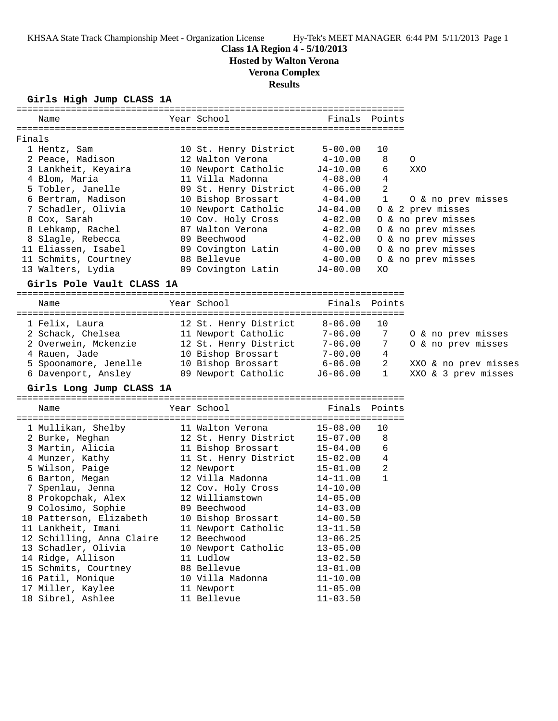## **Class 1A Region 4 - 5/10/2013**

**Hosted by Walton Verona**

# **Verona Complex**

**Results**

## **Girls High Jump CLASS 1A**

| Name                                   | Year School                               | Finals                     | Points       |                                          |
|----------------------------------------|-------------------------------------------|----------------------------|--------------|------------------------------------------|
|                                        |                                           |                            |              |                                          |
| Finals                                 |                                           |                            |              |                                          |
| 1 Hentz, Sam                           | 10 St. Henry District                     | $5 - 00.00$                | 10           |                                          |
| 2 Peace, Madison                       | 12 Walton Verona                          | $4 - 10.00$                | 8            | O                                        |
| 3 Lankheit, Keyaira                    | 10 Newport Catholic                       | $J4 - 10.00$               | 6            | XXO                                      |
| 4 Blom, Maria                          | 11 Villa Madonna                          | $4 - 08.00$                | 4            |                                          |
| 5 Tobler, Janelle                      | 09 St. Henry District                     | $4 - 06.00$                | 2            |                                          |
| 6 Bertram, Madison                     | 10 Bishop Brossart                        | $4 - 04.00$                | 1            | 0 & no prev misses                       |
| 7 Schadler, Olivia                     | 10 Newport Catholic<br>10 Cov. Holy Cross | J4-04.00                   |              | 0 & 2 prev misses                        |
| 8 Cox, Sarah                           | 07 Walton Verona                          | $4 - 02.00$<br>$4 - 02.00$ |              | O & no prev misses                       |
| 8 Lehkamp, Rachel<br>8 Slagle, Rebecca | 09 Beechwood                              | $4 - 02.00$                |              | O & no prev misses<br>O & no prev misses |
| 11 Eliassen, Isabel                    | 09 Covington Latin                        | $4 - 00.00$                |              | O & no prev misses                       |
| 11 Schmits, Courtney                   | 08 Bellevue                               | 4-00.00                    |              | 0 & no prev misses                       |
| 13 Walters, Lydia                      | 09 Covington Latin                        | J4-00.00                   | XO           |                                          |
| Girls Pole Vault CLASS 1A              |                                           |                            |              |                                          |
|                                        |                                           |                            |              |                                          |
| Name                                   | Year School                               | Finals                     | Points       |                                          |
| 1 Felix, Laura                         | 12 St. Henry District                     | $8 - 06.00$                | 10           |                                          |
| 2 Schack, Chelsea                      | 11 Newport Catholic                       | $7 - 06.00$                | 7            | O & no prev misses                       |
| 2 Overwein, Mckenzie                   | 12 St. Henry District                     | $7 - 06.00$                | 7            | O & no prev misses                       |
| 4 Rauen, Jade                          | 10 Bishop Brossart                        | $7 - 00.00$                | 4            |                                          |
| 5 Spoonamore, Jenelle                  | 10 Bishop Brossart                        | $6 - 06.00$                | 2            | XXO & no prev misses                     |
| 6 Davenport, Ansley                    | 09 Newport Catholic                       | $J6-06.00$                 | $\mathbf{1}$ | XXO & 3 prev misses                      |
| Girls Long Jump CLASS 1A               |                                           |                            |              |                                          |
| Name                                   | Year School                               | Finals                     | Points       |                                          |
| 1 Mullikan, Shelby                     | 11 Walton Verona                          | $15 - 08.00$               | 10           |                                          |
| 2 Burke, Meghan                        | 12 St. Henry District                     | $15 - 07.00$               | 8            |                                          |
| 3 Martin, Alicia                       | 11 Bishop Brossart                        | $15 - 04.00$               | 6            |                                          |
| 4 Munzer, Kathy                        | 11 St. Henry District                     | $15 - 02.00$               | 4            |                                          |
| 5 Wilson, Paige                        | 12 Newport                                | $15 - 01.00$               | 2            |                                          |
| 6 Barton, Megan                        | 12 Villa Madonna                          | 14-11.00                   | $\mathbf{1}$ |                                          |
| 7 Spenlau, Jenna                       | 12 Cov. Holy Cross                        | 14-10.00                   |              |                                          |
| 8 Prokopchak, Alex                     | 12 Williamstown                           | 14-05.00                   |              |                                          |
| 9 Colosimo, Sophie                     | 09 Beechwood                              | $14 - 03.00$               |              |                                          |
| 10 Patterson, Elizabeth                | 10 Bishop Brossart                        | $14 - 00.50$               |              |                                          |
| 11 Lankheit, Imani                     | 11 Newport Catholic                       | $13 - 11.50$               |              |                                          |
| 12 Schilling, Anna Claire              | 12 Beechwood                              | $13 - 06.25$               |              |                                          |
| 13 Schadler, Olivia                    | 10 Newport Catholic                       | $13 - 05.00$               |              |                                          |
| 14 Ridge, Allison                      | 11 Ludlow                                 | $13 - 02.50$               |              |                                          |
| 15 Schmits, Courtney                   | 08 Bellevue                               | $13 - 01.00$               |              |                                          |
| 16 Patil, Monique                      | 10 Villa Madonna                          | $11 - 10.00$               |              |                                          |
| 17 Miller, Kaylee                      | 11 Newport                                | $11 - 05.00$               |              |                                          |
| 18 Sibrel, Ashlee                      | 11 Bellevue                               | $11 - 03.50$               |              |                                          |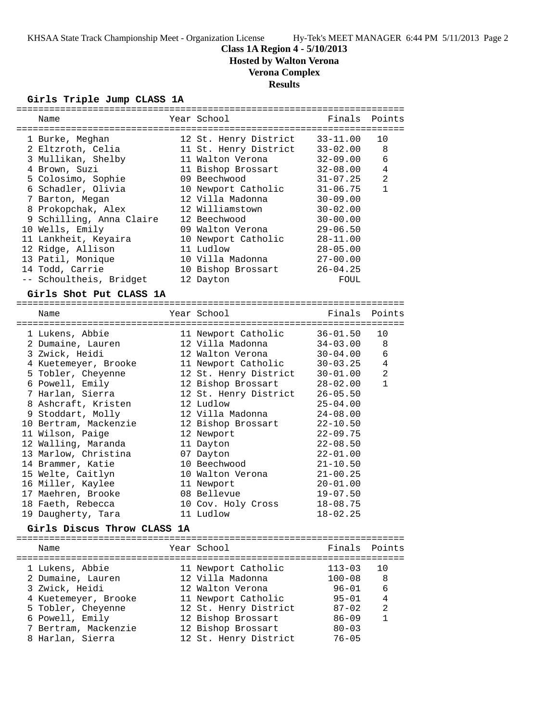## **Class 1A Region 4 - 5/10/2013**

**Hosted by Walton Verona**

## **Verona Complex**

## **Results**

## **Girls Triple Jump CLASS 1A**

| Name                     | Year School           | Finals       | Points       |
|--------------------------|-----------------------|--------------|--------------|
| 1 Burke, Meghan          | 12 St. Henry District | $33 - 11.00$ | 10           |
| 2 Eltzroth, Celia        | 11 St. Henry District | $33 - 02.00$ | 8            |
| 3 Mullikan, Shelby       | 11 Walton Verona      | $32 - 09.00$ | 6            |
| 4 Brown, Suzi            | 11 Bishop Brossart    | $32 - 08.00$ | 4            |
| 5 Colosimo, Sophie       | 09 Beechwood          | $31 - 07.25$ | 2            |
| 6 Schadler, Olivia       | 10 Newport Catholic   | $31 - 06.75$ | $\mathbf{1}$ |
| 7 Barton, Megan          | 12 Villa Madonna      | $30 - 09.00$ |              |
| 8 Prokopchak, Alex       | 12 Williamstown       | $30 - 02.00$ |              |
| 9 Schilling, Anna Claire | 12 Beechwood          | $30 - 00.00$ |              |
| 10 Wells, Emily          | 09 Walton Verona      | $29 - 06.50$ |              |
| 11 Lankheit, Keyaira     | 10 Newport Catholic   | $28 - 11.00$ |              |
| 12 Ridge, Allison        | 11 Ludlow             | $28 - 05.00$ |              |
| 13 Patil, Monique        | 10 Villa Madonna      | $27 - 00.00$ |              |
| 14 Todd, Carrie          | 10 Bishop Brossart    | $26 - 04.25$ |              |
| -- Schoultheis, Bridget  | 12 Dayton             | FOUL         |              |
|                          |                       |              |              |

## **Girls Shot Put CLASS 1A**

| Name                  | Year School States School | Finals Points |                |
|-----------------------|---------------------------|---------------|----------------|
| 1 Lukens, Abbie       | 11 Newport Catholic       | 36-01.50      | 10             |
| 2 Dumaine, Lauren     | 12 Villa Madonna          | 34-03.00      | 8              |
| 3 Zwick, Heidi        | 12 Walton Verona          | $30 - 04.00$  | 6              |
| 4 Kuetemeyer, Brooke  | 11 Newport Catholic       | $30 - 03.25$  | 4              |
| 5 Tobler, Cheyenne    | 12 St. Henry District     | $30 - 01.00$  | $\overline{2}$ |
| 6 Powell, Emily       | 12 Bishop Brossart        | 28-02.00      | $\mathbf{1}$   |
| 7 Harlan, Sierra      | 12 St. Henry District     | $26 - 05.50$  |                |
| 8 Ashcraft, Kristen   | 12 Ludlow                 | $25 - 04.00$  |                |
| 9 Stoddart, Molly     | 12 Villa Madonna          | $24 - 08.00$  |                |
| 10 Bertram, Mackenzie | 12 Bishop Brossart        | $22 - 10.50$  |                |
| 11 Wilson, Paige      | 12 Newport                | $22 - 09.75$  |                |
| 12 Walling, Maranda   | 11 Dayton                 | $22 - 08.50$  |                |
| 13 Marlow, Christina  | 07 Dayton                 | $22 - 01.00$  |                |
| 14 Brammer, Katie     | 10 Beechwood              | $21 - 10.50$  |                |
| 15 Welte, Caitlyn     | 10 Walton Verona          | $21 - 00.25$  |                |
| 16 Miller, Kaylee     | 11 Newport                | $20 - 01.00$  |                |
| 17 Maehren, Brooke    | 08 Bellevue               | $19 - 07.50$  |                |
| 18 Faeth, Rebecca     | 10 Cov. Holy Cross        | $18 - 08.75$  |                |
| 19 Daugherty, Tara    | 11 Ludlow                 | $18 - 02.25$  |                |
|                       |                           |               |                |

## **Girls Discus Throw CLASS 1A**

| Name                 | Year School           | Finals Points |                |
|----------------------|-----------------------|---------------|----------------|
| 1 Lukens, Abbie      | 11 Newport Catholic   | $113 - 03$    | 10             |
| 2 Dumaine, Lauren    | 12 Villa Madonna      | $100 - 08$    | - 8            |
| 3 Zwick, Heidi       | 12 Walton Verona      | $96 - 01$     | 6              |
| 4 Kuetemeyer, Brooke | 11 Newport Catholic   | $95 - 01$     | $\overline{4}$ |
| 5 Tobler, Cheyenne   | 12 St. Henry District | $87 - 02$     | 2              |
| 6 Powell, Emily      | 12 Bishop Brossart    | $86 - 09$     | $\overline{1}$ |
| 7 Bertram, Mackenzie | 12 Bishop Brossart    | $80 - 03$     |                |
| 8 Harlan, Sierra     | 12 St. Henry District | $76 - 05$     |                |
|                      |                       |               |                |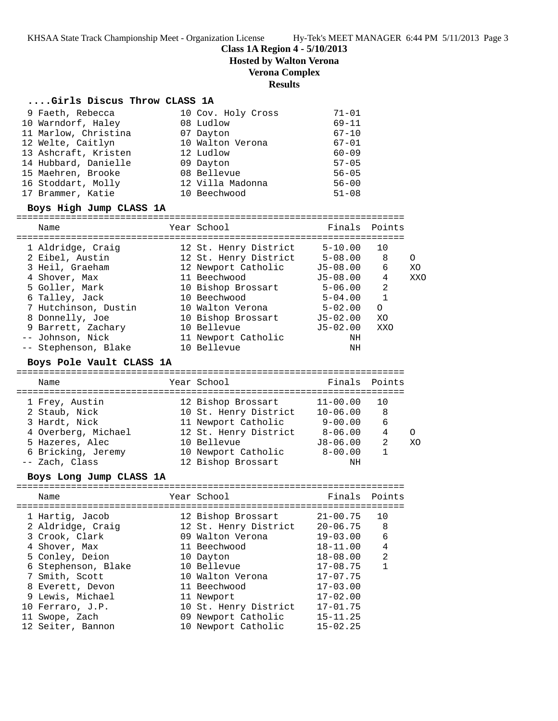**Class 1A Region 4 - 5/10/2013**

**Hosted by Walton Verona**

## **Verona Complex**

### **Results**

### **....Girls Discus Throw CLASS 1A**

| 9 Faeth, Rebecca     | 10 Cov. Holy Cross | $71 - 01$ |
|----------------------|--------------------|-----------|
| 10 Warndorf, Haley   | 08 Ludlow          | $69 - 11$ |
| 11 Marlow, Christina | 07 Dayton          | $67 - 10$ |
| 12 Welte, Caitlyn    | 10 Walton Verona   | $67 - 01$ |
| 13 Ashcraft, Kristen | 12 Ludlow          | $60 - 09$ |
| 14 Hubbard, Danielle | 09 Dayton          | $57 - 05$ |
| 15 Maehren, Brooke   | 08 Bellevue        | $56 - 05$ |
| 16 Stoddart, Molly   | 12 Villa Madonna   | $56 - 00$ |
| 17 Brammer, Katie    | 10 Beechwood       | $51 - 08$ |

#### **Boys High Jump CLASS 1A**

| Name                 | Year School           | Finals Points |          |            |
|----------------------|-----------------------|---------------|----------|------------|
| 1 Aldridge, Craig    | 12 St. Henry District | $5 - 10.00$   | 10       |            |
| 2 Eibel, Austin      | 12 St. Henry District | $5 - 08.00$   | 8        | O          |
| 3 Heil, Graeham      | 12 Newport Catholic   | $J5 - 08.00$  | 6        | XO         |
| 4 Shover, Max        | 11 Beechwood          | $J5 - 08.00$  | 4        | <b>XXO</b> |
| 5 Goller, Mark       | 10 Bishop Brossart    | $5 - 06.00$   | 2        |            |
| 6 Talley, Jack       | 10 Beechwood          | $5 - 04.00$   |          |            |
| 7 Hutchinson, Dustin | 10 Walton Verona      | $5 - 02.00$   | $\Omega$ |            |
| 8 Donnelly, Joe      | 10 Bishop Brossart    | $J5 - 02.00$  | XO       |            |
| 9 Barrett, Zachary   | 10 Bellevue           | $J5 - 02.00$  | XXO      |            |
| -- Johnson, Nick     | 11 Newport Catholic   | ΝH            |          |            |
| -- Stephenson, Blake | 10 Bellevue           | ΝH            |          |            |

#### **Boys Pole Vault CLASS 1A**

### ======================================================================= Name Year School Finals Points ======================================================================= 1 Frey, Austin 12 Bishop Brossart 11-00.00 10 2 Staub, Nick 10 St. Henry District 10-06.00 8 3 Hardt, Nick 11 Newport Catholic 9-00.00 6 4 Overberg, Michael 12 St. Henry District 8-06.00 4 O 5 Hazeres, Alec 10 Bellevue J8-06.00 2 XO 6 Bricking, Jeremy 10 Newport Catholic 8-00.00 1 -- Zach, Class 12 Bishop Brossart NH

## **Boys Long Jump CLASS 1A**

| Name                                                                                                                                                                                                              | Year School                                                                                                                                                                                                   | Finals Points                                                                                                                                                                |                                                    |
|-------------------------------------------------------------------------------------------------------------------------------------------------------------------------------------------------------------------|---------------------------------------------------------------------------------------------------------------------------------------------------------------------------------------------------------------|------------------------------------------------------------------------------------------------------------------------------------------------------------------------------|----------------------------------------------------|
| 1 Hartig, Jacob<br>2 Aldridge, Craig<br>3 Crook, Clark<br>4 Shover, Max<br>5 Conley, Deion<br>6 Stephenson, Blake<br>7 Smith, Scott<br>8 Everett, Devon<br>9 Lewis, Michael<br>10 Ferraro, J.P.<br>11 Swope, Zach | 12 Bishop Brossart<br>12 St. Henry District<br>09 Walton Verona<br>11 Beechwood<br>10 Dayton<br>10 Bellevue<br>10 Walton Verona<br>11 Beechwood<br>11 Newport<br>10 St. Henry District<br>09 Newport Catholic | $21 - 00.75$<br>$20 - 06.75$<br>$19 - 03.00$<br>$18 - 11.00$<br>$18 - 08.00$<br>$17 - 08.75$<br>$17 - 07.75$<br>$17 - 03.00$<br>$17 - 02.00$<br>$17 - 01.75$<br>$15 - 11.25$ | 10<br>- 8<br>6<br>$\overline{4}$<br>$\mathfrak{D}$ |
| 12 Seiter, Bannon                                                                                                                                                                                                 | 10 Newport Catholic                                                                                                                                                                                           | $15 - 02.25$                                                                                                                                                                 |                                                    |
|                                                                                                                                                                                                                   |                                                                                                                                                                                                               |                                                                                                                                                                              |                                                    |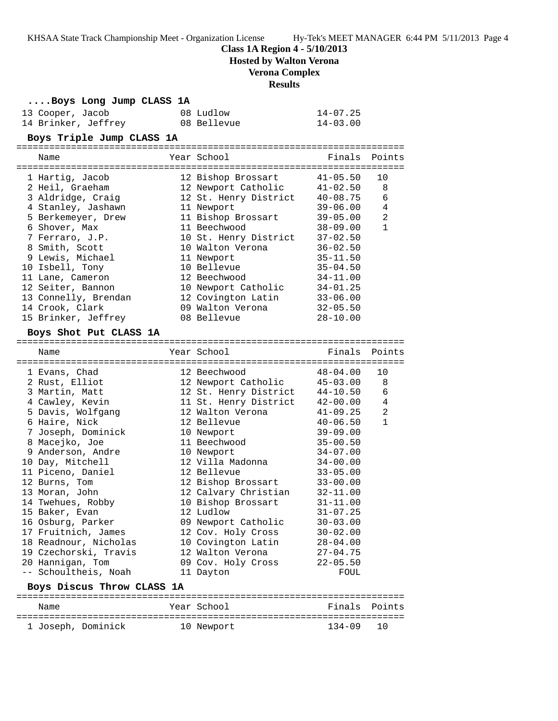## **Class 1A Region 4 - 5/10/2013**

**Hosted by Walton Verona**

## **Verona Complex**

#### **Results**

| Boys Long Jump CLASS 1A |             |              |
|-------------------------|-------------|--------------|
| 13 Cooper, Jacob        | 08 Ludlow   | 14-07.25     |
| 14 Brinker, Jeffrey     | 08 Bellevue | $14 - 03.00$ |

**Boys Triple Jump CLASS 1A**

| Name                 | Year School           | Finals       | Points |
|----------------------|-----------------------|--------------|--------|
| 1 Hartig, Jacob      | 12 Bishop Brossart    | $41 - 05.50$ | 10     |
| 2 Heil, Graeham      | 12 Newport Catholic   | $41 - 02.50$ | 8      |
| 3 Aldridge, Craig    | 12 St. Henry District | $40 - 08.75$ | 6      |
| 4 Stanley, Jashawn   | 11 Newport            | $39 - 06.00$ | 4      |
| 5 Berkemeyer, Drew   | 11 Bishop Brossart    | $39 - 05.00$ | 2      |
| 6 Shover, Max        | 11 Beechwood          | $38 - 09.00$ | 1      |
| 7 Ferraro, J.P.      | 10 St. Henry District | $37 - 02.50$ |        |
| 8 Smith, Scott       | 10 Walton Verona      | $36 - 02.50$ |        |
| 9 Lewis, Michael     | 11 Newport            | $35 - 11.50$ |        |
| 10 Isbell, Tony      | 10 Bellevue           | $35 - 04.50$ |        |
| 11 Lane, Cameron     | 12 Beechwood          | $34 - 11.00$ |        |
| 12 Seiter, Bannon    | 10 Newport Catholic   | $34 - 01.25$ |        |
| 13 Connelly, Brendan | 12 Covington Latin    | $33 - 06.00$ |        |
| 14 Crook, Clark      | 09 Walton Verona      | $32 - 05.50$ |        |
| 15 Brinker, Jeffrey  | 08 Bellevue           | $28 - 10.00$ |        |

#### **Boys Shot Put CLASS 1A**

=======================================================================

| Name<br>=================================== | Year School<br>===================================== | Finals       | Points       |
|---------------------------------------------|------------------------------------------------------|--------------|--------------|
| 1 Evans, Chad                               | 12 Beechwood                                         | 48-04.00     | 10           |
| 2 Rust, Elliot                              | 12 Newport Catholic                                  | 45-03.00     | 8            |
| 3 Martin, Matt                              | 12 St. Henry District                                | 44-10.50     | 6            |
| 4 Cawley, Kevin                             | 11 St. Henry District                                | 42-00.00     | 4            |
| 5 Davis, Wolfgang                           | 12 Walton Verona                                     | $41 - 09.25$ | 2            |
| 6 Haire, Nick                               | 12 Bellevue                                          | $40 - 06.50$ | $\mathbf{1}$ |
| 7 Joseph, Dominick                          | 10 Newport                                           | $39 - 09.00$ |              |
| 8 Macejko, Joe                              | 11 Beechwood                                         | $35 - 00.50$ |              |
| 9 Anderson, Andre                           | 10 Newport                                           | $34 - 07.00$ |              |
| 10 Day, Mitchell                            | 12 Villa Madonna                                     | $34 - 00.00$ |              |
| 11 Piceno, Daniel                           | 12 Bellevue                                          | $33 - 05.00$ |              |
| 12 Burns, Tom                               | 12 Bishop Brossart                                   | $33 - 00.00$ |              |
| 13 Moran, John                              | 12 Calvary Christian                                 | $32 - 11.00$ |              |
| 14 Twehues, Robby                           | 10 Bishop Brossart                                   | $31 - 11.00$ |              |
| 15 Baker, Evan                              | 12 Ludlow                                            | $31 - 07.25$ |              |
| 16 Osburg, Parker                           | 09 Newport Catholic                                  | $30 - 03.00$ |              |
| 17 Fruitnich, James                         | 12 Cov. Holy Cross                                   | $30 - 02.00$ |              |
| 18 Readnour, Nicholas                       | 10 Covington Latin                                   | $28 - 04.00$ |              |
| 19 Czechorski, Travis                       | 12 Walton Verona                                     | $27 - 04.75$ |              |
| 20 Hannigan, Tom                            | 09 Cov. Holy Cross                                   | $22 - 05.50$ |              |
| -- Schoultheis, Noah                        | 11 Dayton                                            | FOUL         |              |
| Boys Discus Throw CLASS 1A                  |                                                      |              |              |

# ======================================================================= Name The Year School Team Points Points =======================================================================

1 Joseph, Dominick 10 Newport